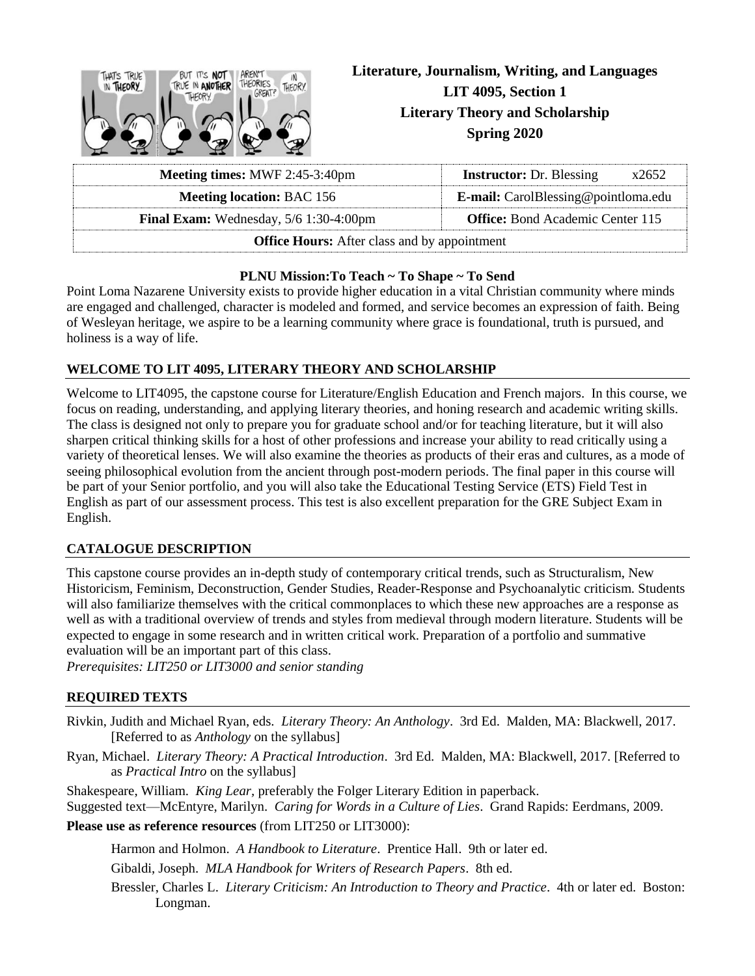| AREN'T<br>THAT'S TRUE<br>BUT IT'S NOT<br>IN<br>THEORY.<br><b>ALE IN ANOTHER</b> | Literature, Journalism, Writing, and Languages<br>LIT 4095, Section 1 |  |  |  |
|---------------------------------------------------------------------------------|-----------------------------------------------------------------------|--|--|--|
|                                                                                 | <b>Literary Theory and Scholarship</b><br><b>Spring 2020</b>          |  |  |  |
| <b>Meeting times: MWF 2:45-3:40pm</b>                                           | <b>Instructor:</b> Dr. Blessing<br>x2652                              |  |  |  |

| <b>Meeting times: MWF 2:45-3:40pm</b>                                                      | <b>Instructor:</b> Dr. Blessing<br>x2652   |  |  |  |  |  |
|--------------------------------------------------------------------------------------------|--------------------------------------------|--|--|--|--|--|
| <b>Meeting location: BAC 156</b>                                                           | <b>E-mail:</b> CarolBlessing@pointloma.edu |  |  |  |  |  |
| <b>Office:</b> Bond Academic Center 115<br><b>Final Exam:</b> Wednesday, $5/6$ 1:30-4:00pm |                                            |  |  |  |  |  |
| <b>Office Hours:</b> After class and by appointment                                        |                                            |  |  |  |  |  |

#### **PLNU Mission:To Teach ~ To Shape ~ To Send**

Point Loma Nazarene University exists to provide higher education in a vital Christian community where minds are engaged and challenged, character is modeled and formed, and service becomes an expression of faith. Being of Wesleyan heritage, we aspire to be a learning community where grace is foundational, truth is pursued, and holiness is a way of life.

# **WELCOME TO LIT 4095, LITERARY THEORY AND SCHOLARSHIP**

Welcome to LIT4095, the capstone course for Literature/English Education and French majors. In this course, we focus on reading, understanding, and applying literary theories, and honing research and academic writing skills. The class is designed not only to prepare you for graduate school and/or for teaching literature, but it will also sharpen critical thinking skills for a host of other professions and increase your ability to read critically using a variety of theoretical lenses. We will also examine the theories as products of their eras and cultures, as a mode of seeing philosophical evolution from the ancient through post-modern periods. The final paper in this course will be part of your Senior portfolio, and you will also take the Educational Testing Service (ETS) Field Test in English as part of our assessment process. This test is also excellent preparation for the GRE Subject Exam in English.

# **CATALOGUE DESCRIPTION**

This capstone course provides an in-depth study of contemporary critical trends, such as Structuralism, New Historicism, Feminism, Deconstruction, Gender Studies, Reader-Response and Psychoanalytic criticism. Students will also familiarize themselves with the critical commonplaces to which these new approaches are a response as well as with a traditional overview of trends and styles from medieval through modern literature. Students will be expected to engage in some research and in written critical work. Preparation of a portfolio and summative evaluation will be an important part of this class.

*Prerequisites: LIT250 or LIT3000 and senior standing*

# **REQUIRED TEXTS**

- Rivkin, Judith and Michael Ryan, eds. *Literary Theory: An Anthology*. 3rd Ed. Malden, MA: Blackwell, 2017. [Referred to as *Anthology* on the syllabus]
- Ryan, Michael. *Literary Theory: A Practical Introduction*. 3rd Ed. Malden, MA: Blackwell, 2017. [Referred to as *Practical Intro* on the syllabus]

Shakespeare, William. *King Lear,* preferably the Folger Literary Edition in paperback. Suggested text—McEntyre, Marilyn. *Caring for Words in a Culture of Lies*. Grand Rapids: Eerdmans, 2009. **Please use as reference resources** (from LIT250 or LIT3000):

Harmon and Holmon. *A Handbook to Literature*. Prentice Hall. 9th or later ed.

Gibaldi, Joseph. *MLA Handbook for Writers of Research Papers*. 8th ed.

Bressler, Charles L. *Literary Criticism: An Introduction to Theory and Practice*. 4th or later ed. Boston: Longman.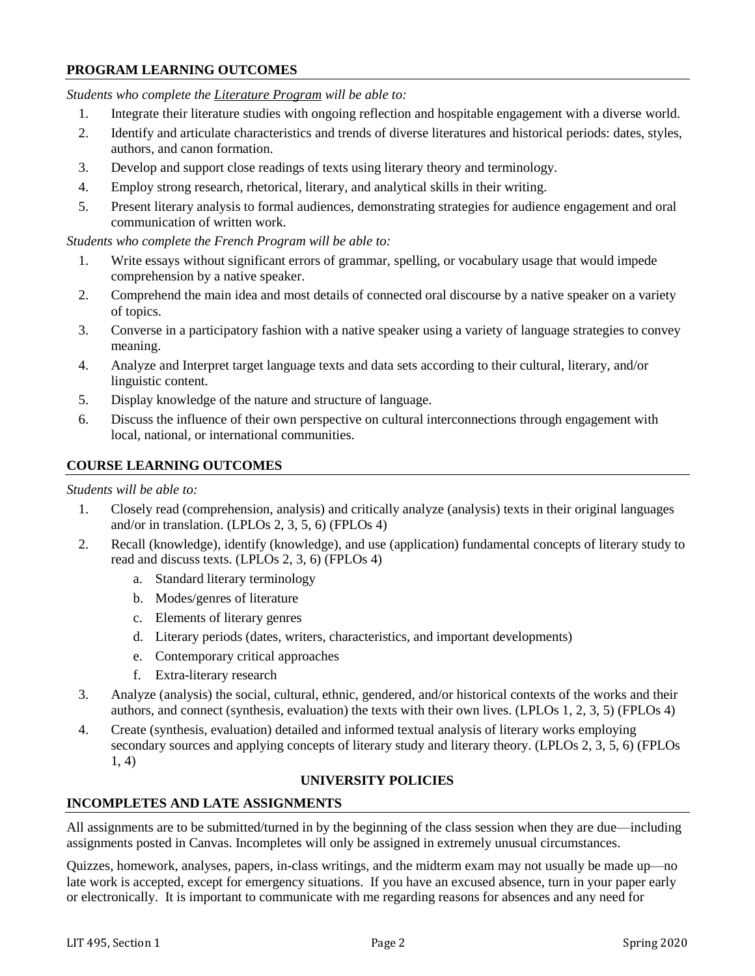# **PROGRAM LEARNING OUTCOMES**

*Students who complete the Literature Program will be able to:*

- 1. Integrate their literature studies with ongoing reflection and hospitable engagement with a diverse world.
- 2. Identify and articulate characteristics and trends of diverse literatures and historical periods: dates, styles, authors, and canon formation.
- 3. Develop and support close readings of texts using literary theory and terminology.
- 4. Employ strong research, rhetorical, literary, and analytical skills in their writing.
- 5. Present literary analysis to formal audiences, demonstrating strategies for audience engagement and oral communication of written work.

*Students who complete the French Program will be able to:*

- 1. Write essays without significant errors of grammar, spelling, or vocabulary usage that would impede comprehension by a native speaker.
- 2. Comprehend the main idea and most details of connected oral discourse by a native speaker on a variety of topics.
- 3. Converse in a participatory fashion with a native speaker using a variety of language strategies to convey meaning.
- 4. Analyze and Interpret target language texts and data sets according to their cultural, literary, and/or linguistic content.
- 5. Display knowledge of the nature and structure of language.
- 6. Discuss the influence of their own perspective on cultural interconnections through engagement with local, national, or international communities.

### **COURSE LEARNING OUTCOMES**

#### *Students will be able to:*

- 1. Closely read (comprehension, analysis) and critically analyze (analysis) texts in their original languages and/or in translation. (LPLOs 2, 3, 5, 6) (FPLOs 4)
- 2. Recall (knowledge), identify (knowledge), and use (application) fundamental concepts of literary study to read and discuss texts. (LPLOs 2, 3, 6) (FPLOs 4)
	- a. Standard literary terminology
	- b. Modes/genres of literature
	- c. Elements of literary genres
	- d. Literary periods (dates, writers, characteristics, and important developments)
	- e. Contemporary critical approaches
	- f. Extra-literary research
- 3. Analyze (analysis) the social, cultural, ethnic, gendered, and/or historical contexts of the works and their authors, and connect (synthesis, evaluation) the texts with their own lives. (LPLOs 1, 2, 3, 5) (FPLOs 4)
- 4. Create (synthesis, evaluation) detailed and informed textual analysis of literary works employing secondary sources and applying concepts of literary study and literary theory. (LPLOs 2, 3, 5, 6) (FPLOs 1, 4)

# **UNIVERSITY POLICIES**

# **INCOMPLETES AND LATE ASSIGNMENTS**

All assignments are to be submitted/turned in by the beginning of the class session when they are due—including assignments posted in Canvas. Incompletes will only be assigned in extremely unusual circumstances.

Quizzes, homework, analyses, papers, in-class writings, and the midterm exam may not usually be made up—no late work is accepted, except for emergency situations. If you have an excused absence, turn in your paper early or electronically. It is important to communicate with me regarding reasons for absences and any need for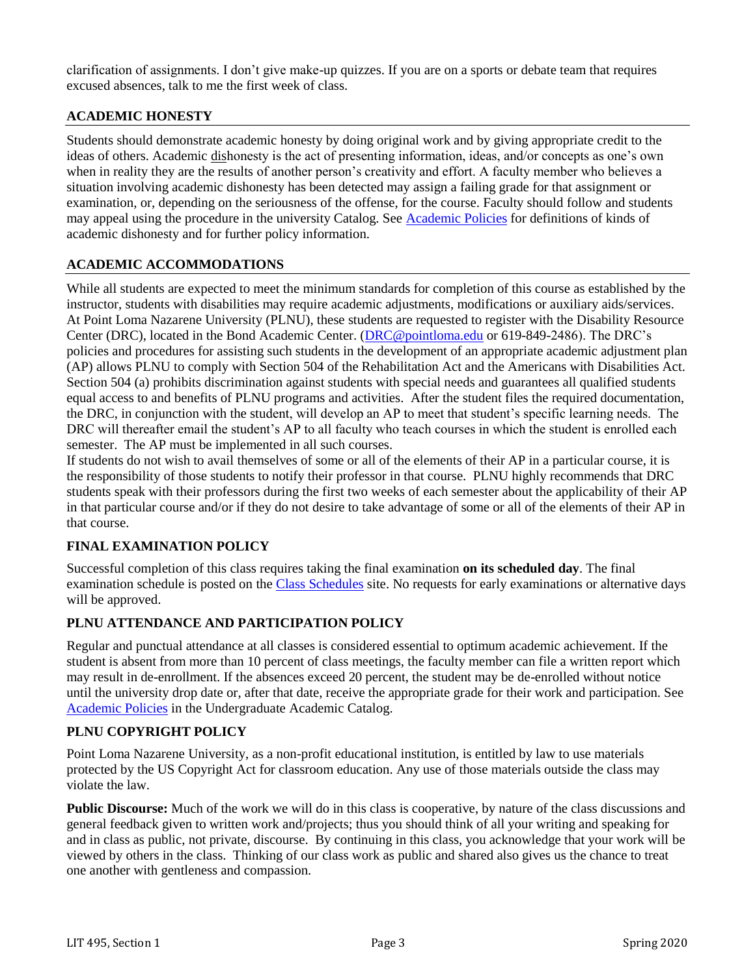clarification of assignments. I don't give make-up quizzes. If you are on a sports or debate team that requires excused absences, talk to me the first week of class.

# **ACADEMIC HONESTY**

Students should demonstrate academic honesty by doing original work and by giving appropriate credit to the ideas of others. Academic dishonesty is the act of presenting information, ideas, and/or concepts as one's own when in reality they are the results of another person's creativity and effort. A faculty member who believes a situation involving academic dishonesty has been detected may assign a failing grade for that assignment or examination, or, depending on the seriousness of the offense, for the course. Faculty should follow and students may appeal using the procedure in the university Catalog. See [Academic Policies](http://catalog.pointloma.edu/content.php?catoid=18&navoid=1278) for definitions of kinds of academic dishonesty and for further policy information.

### **ACADEMIC ACCOMMODATIONS**

While all students are expected to meet the minimum standards for completion of this course as established by the instructor, students with disabilities may require academic adjustments, modifications or auxiliary aids/services. At Point Loma Nazarene University (PLNU), these students are requested to register with the Disability Resource Center (DRC), located in the Bond Academic Center. [\(DRC@pointloma.edu](mailto:DRC@pointloma.edu) or 619-849-2486). The DRC's policies and procedures for assisting such students in the development of an appropriate academic adjustment plan (AP) allows PLNU to comply with Section 504 of the Rehabilitation Act and the Americans with Disabilities Act. Section 504 (a) prohibits discrimination against students with special needs and guarantees all qualified students equal access to and benefits of PLNU programs and activities. After the student files the required documentation, the DRC, in conjunction with the student, will develop an AP to meet that student's specific learning needs. The DRC will thereafter email the student's AP to all faculty who teach courses in which the student is enrolled each semester. The AP must be implemented in all such courses.

If students do not wish to avail themselves of some or all of the elements of their AP in a particular course, it is the responsibility of those students to notify their professor in that course. PLNU highly recommends that DRC students speak with their professors during the first two weeks of each semester about the applicability of their AP in that particular course and/or if they do not desire to take advantage of some or all of the elements of their AP in that course.

# **FINAL EXAMINATION POLICY**

Successful completion of this class requires taking the final examination **on its scheduled day**. The final examination schedule is posted on the [Class Schedules](http://www.pointloma.edu/experience/academics/class-schedules) site. No requests for early examinations or alternative days will be approved.

# **PLNU ATTENDANCE AND PARTICIPATION POLICY**

Regular and punctual attendance at all classes is considered essential to optimum academic achievement. If the student is absent from more than 10 percent of class meetings, the faculty member can file a written report which may result in de-enrollment. If the absences exceed 20 percent, the student may be de-enrolled without notice until the university drop date or, after that date, receive the appropriate grade for their work and participation. See [Academic Policies](http://catalog.pointloma.edu/content.php?catoid=18&navoid=1278) in the Undergraduate Academic Catalog.

# **PLNU COPYRIGHT POLICY**

Point Loma Nazarene University, as a non-profit educational institution, is entitled by law to use materials protected by the US Copyright Act for classroom education. Any use of those materials outside the class may violate the law.

**Public Discourse:** Much of the work we will do in this class is cooperative, by nature of the class discussions and general feedback given to written work and/projects; thus you should think of all your writing and speaking for and in class as public, not private, discourse. By continuing in this class, you acknowledge that your work will be viewed by others in the class. Thinking of our class work as public and shared also gives us the chance to treat one another with gentleness and compassion.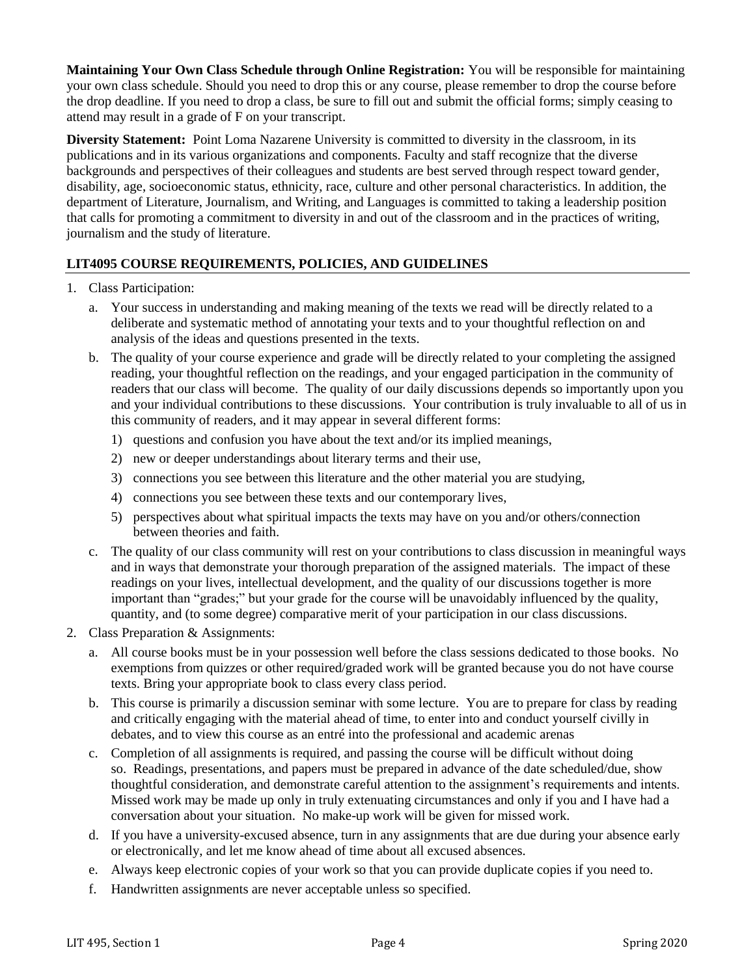**Maintaining Your Own Class Schedule through Online Registration:** You will be responsible for maintaining your own class schedule. Should you need to drop this or any course, please remember to drop the course before the drop deadline. If you need to drop a class, be sure to fill out and submit the official forms; simply ceasing to attend may result in a grade of F on your transcript.

**Diversity Statement:** Point Loma Nazarene University is committed to diversity in the classroom, in its publications and in its various organizations and components. Faculty and staff recognize that the diverse backgrounds and perspectives of their colleagues and students are best served through respect toward gender, disability, age, socioeconomic status, ethnicity, race, culture and other personal characteristics. In addition, the department of Literature, Journalism, and Writing, and Languages is committed to taking a leadership position that calls for promoting a commitment to diversity in and out of the classroom and in the practices of writing, journalism and the study of literature.

# **LIT4095 COURSE REQUIREMENTS, POLICIES, AND GUIDELINES**

- 1. Class Participation:
	- a. Your success in understanding and making meaning of the texts we read will be directly related to a deliberate and systematic method of annotating your texts and to your thoughtful reflection on and analysis of the ideas and questions presented in the texts.
	- b. The quality of your course experience and grade will be directly related to your completing the assigned reading, your thoughtful reflection on the readings, and your engaged participation in the community of readers that our class will become. The quality of our daily discussions depends so importantly upon you and your individual contributions to these discussions. Your contribution is truly invaluable to all of us in this community of readers, and it may appear in several different forms:
		- 1) questions and confusion you have about the text and/or its implied meanings,
		- 2) new or deeper understandings about literary terms and their use,
		- 3) connections you see between this literature and the other material you are studying,
		- 4) connections you see between these texts and our contemporary lives,
		- 5) perspectives about what spiritual impacts the texts may have on you and/or others/connection between theories and faith.
	- c. The quality of our class community will rest on your contributions to class discussion in meaningful ways and in ways that demonstrate your thorough preparation of the assigned materials. The impact of these readings on your lives, intellectual development, and the quality of our discussions together is more important than "grades;" but your grade for the course will be unavoidably influenced by the quality, quantity, and (to some degree) comparative merit of your participation in our class discussions.
- 2. Class Preparation & Assignments:
	- a. All course books must be in your possession well before the class sessions dedicated to those books. No exemptions from quizzes or other required/graded work will be granted because you do not have course texts. Bring your appropriate book to class every class period.
	- b. This course is primarily a discussion seminar with some lecture. You are to prepare for class by reading and critically engaging with the material ahead of time, to enter into and conduct yourself civilly in debates, and to view this course as an entré into the professional and academic arenas
	- c. Completion of all assignments is required, and passing the course will be difficult without doing so. Readings, presentations, and papers must be prepared in advance of the date scheduled/due, show thoughtful consideration, and demonstrate careful attention to the assignment's requirements and intents. Missed work may be made up only in truly extenuating circumstances and only if you and I have had a conversation about your situation. No make-up work will be given for missed work.
	- d. If you have a university-excused absence, turn in any assignments that are due during your absence early or electronically, and let me know ahead of time about all excused absences.
	- e. Always keep electronic copies of your work so that you can provide duplicate copies if you need to.
	- f. Handwritten assignments are never acceptable unless so specified.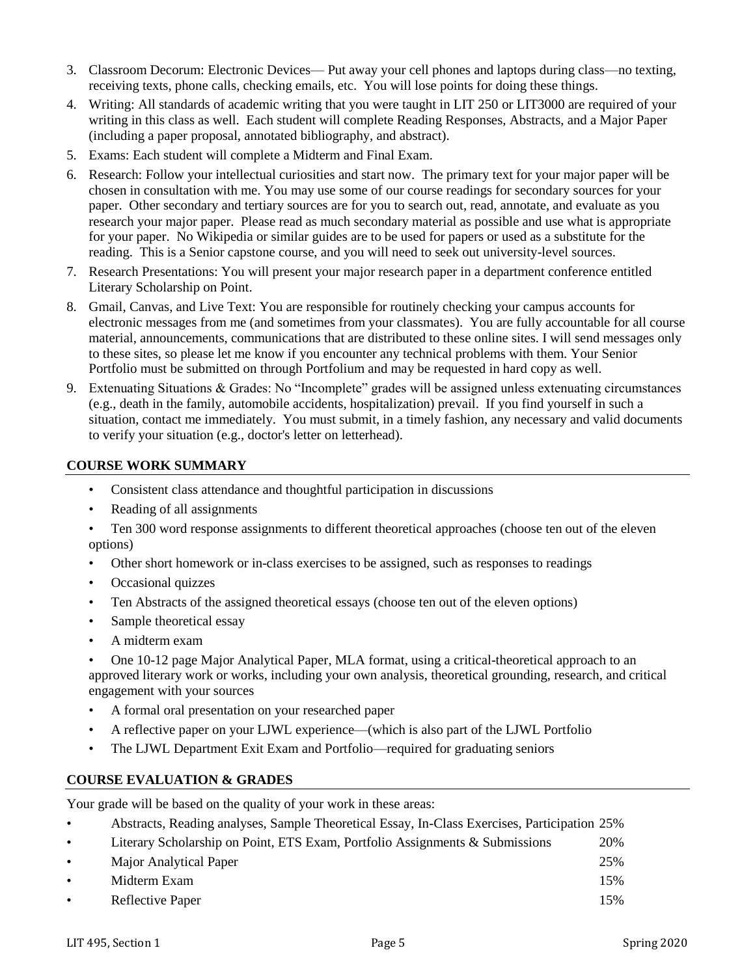- 3. Classroom Decorum: Electronic Devices— Put away your cell phones and laptops during class—no texting, receiving texts, phone calls, checking emails, etc. You will lose points for doing these things.
- 4. Writing: All standards of academic writing that you were taught in LIT 250 or LIT3000 are required of your writing in this class as well. Each student will complete Reading Responses, Abstracts, and a Major Paper (including a paper proposal, annotated bibliography, and abstract).
- 5. Exams: Each student will complete a Midterm and Final Exam.
- 6. Research: Follow your intellectual curiosities and start now. The primary text for your major paper will be chosen in consultation with me. You may use some of our course readings for secondary sources for your paper. Other secondary and tertiary sources are for you to search out, read, annotate, and evaluate as you research your major paper. Please read as much secondary material as possible and use what is appropriate for your paper. No Wikipedia or similar guides are to be used for papers or used as a substitute for the reading. This is a Senior capstone course, and you will need to seek out university-level sources.
- 7. Research Presentations: You will present your major research paper in a department conference entitled Literary Scholarship on Point.
- 8. Gmail, Canvas, and Live Text: You are responsible for routinely checking your campus accounts for electronic messages from me (and sometimes from your classmates). You are fully accountable for all course material, announcements, communications that are distributed to these online sites. I will send messages only to these sites, so please let me know if you encounter any technical problems with them. Your Senior Portfolio must be submitted on through Portfolium and may be requested in hard copy as well.
- 9. Extenuating Situations & Grades: No "Incomplete" grades will be assigned unless extenuating circumstances (e.g., death in the family, automobile accidents, hospitalization) prevail. If you find yourself in such a situation, contact me immediately. You must submit, in a timely fashion, any necessary and valid documents to verify your situation (e.g., doctor's letter on letterhead).

### **COURSE WORK SUMMARY**

- Consistent class attendance and thoughtful participation in discussions
- Reading of all assignments
- Ten 300 word response assignments to different theoretical approaches (choose ten out of the eleven options)
- Other short homework or in-class exercises to be assigned, such as responses to readings
- Occasional quizzes
- Ten Abstracts of the assigned theoretical essays (choose ten out of the eleven options)
- Sample theoretical essay
- A midterm exam
- One 10-12 page Major Analytical Paper, MLA format, using a critical-theoretical approach to an approved literary work or works, including your own analysis, theoretical grounding, research, and critical engagement with your sources
- A formal oral presentation on your researched paper
- A reflective paper on your LJWL experience—(which is also part of the LJWL Portfolio
- The LJWL Department Exit Exam and Portfolio—required for graduating seniors

# **COURSE EVALUATION & GRADES**

Your grade will be based on the quality of your work in these areas:

| $\bullet$ | Abstracts, Reading analyses, Sample Theoretical Essay, In-Class Exercises, Participation 25% |     |
|-----------|----------------------------------------------------------------------------------------------|-----|
| $\bullet$ | Literary Scholarship on Point, ETS Exam, Portfolio Assignments & Submissions                 | 20% |
| $\bullet$ | Major Analytical Paper                                                                       | 25% |
| $\bullet$ | Midterm Exam                                                                                 | 15% |
| $\bullet$ | Reflective Paper                                                                             | 15% |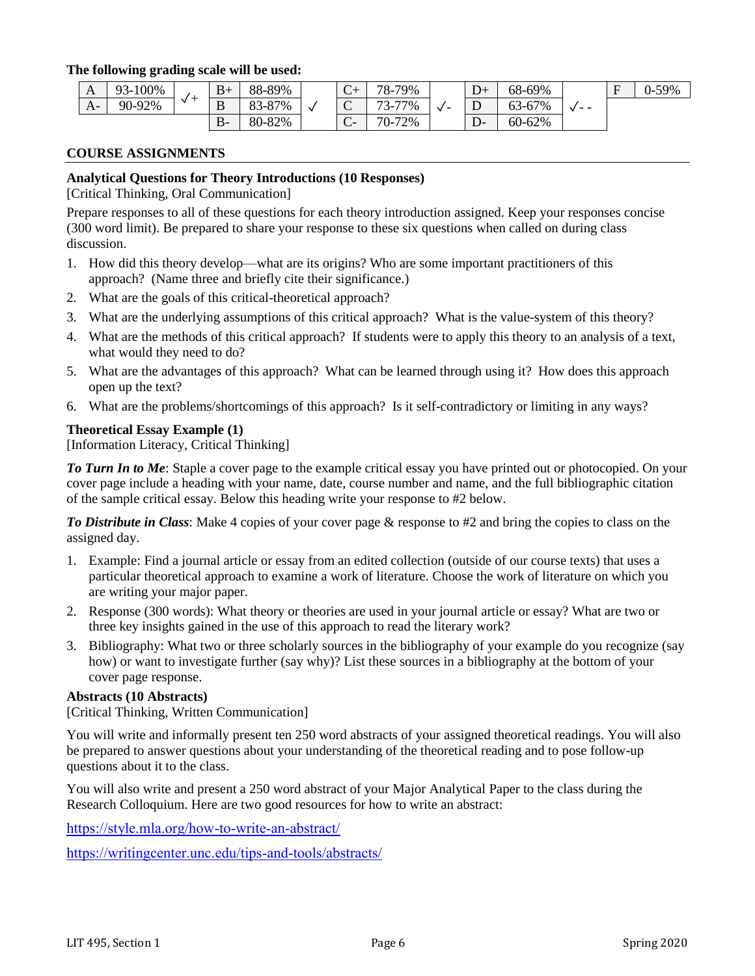#### **The following grading scale will be used:**

| A    | 100%<br>$93 -$ | $B+$    | 88-89% | $\sqrt{ }$<br>◡ | $78-$<br>79%                              |         | $\mathbf{D}$<br>$D^+$ | 68-69% |                   | $\blacksquare$<br>н | $J-59%$ |
|------|----------------|---------|--------|-----------------|-------------------------------------------|---------|-----------------------|--------|-------------------|---------------------|---------|
| $A-$ | 90-92%         | ת<br>്ധ | 33-87% | $\sim$<br>∼     | 77%<br>$\overline{\phantom{a}}$<br>$\sim$ | $\cdot$ | Ē<br>⊥                | 63-67% | $ -$<br>$\lambda$ |                     |         |
|      |                | D-      | 80-82% | $\sqrt{ }$<br>◡ | $70-$<br>72%                              |         | $\Gamma$<br>. .<br>┚  | 60-62% |                   |                     |         |

#### **COURSE ASSIGNMENTS**

#### **Analytical Questions for Theory Introductions (10 Responses)**

[Critical Thinking, Oral Communication]

Prepare responses to all of these questions for each theory introduction assigned. Keep your responses concise (300 word limit). Be prepared to share your response to these six questions when called on during class discussion.

- 1. How did this theory develop—what are its origins? Who are some important practitioners of this approach? (Name three and briefly cite their significance.)
- 2. What are the goals of this critical-theoretical approach?
- 3. What are the underlying assumptions of this critical approach? What is the value-system of this theory?
- 4. What are the methods of this critical approach? If students were to apply this theory to an analysis of a text, what would they need to do?
- 5. What are the advantages of this approach? What can be learned through using it? How does this approach open up the text?
- 6. What are the problems/shortcomings of this approach? Is it self-contradictory or limiting in any ways?

#### **Theoretical Essay Example (1)**

[Information Literacy, Critical Thinking]

*To Turn In to Me*: Staple a cover page to the example critical essay you have printed out or photocopied. On your cover page include a heading with your name, date, course number and name, and the full bibliographic citation of the sample critical essay. Below this heading write your response to #2 below.

*To Distribute in Class*: Make 4 copies of your cover page & response to #2 and bring the copies to class on the assigned day.

- 1. Example: Find a journal article or essay from an edited collection (outside of our course texts) that uses a particular theoretical approach to examine a work of literature. Choose the work of literature on which you are writing your major paper.
- 2. Response (300 words): What theory or theories are used in your journal article or essay? What are two or three key insights gained in the use of this approach to read the literary work?
- 3. Bibliography: What two or three scholarly sources in the bibliography of your example do you recognize (say how) or want to investigate further (say why)? List these sources in a bibliography at the bottom of your cover page response.

#### **Abstracts (10 Abstracts)**

[Critical Thinking, Written Communication]

You will write and informally present ten 250 word abstracts of your assigned theoretical readings. You will also be prepared to answer questions about your understanding of the theoretical reading and to pose follow-up questions about it to the class.

You will also write and present a 250 word abstract of your Major Analytical Paper to the class during the Research Colloquium. Here are two good resources for how to write an abstract:

<https://style.mla.org/how-to-write-an-abstract/>

<https://writingcenter.unc.edu/tips-and-tools/abstracts/>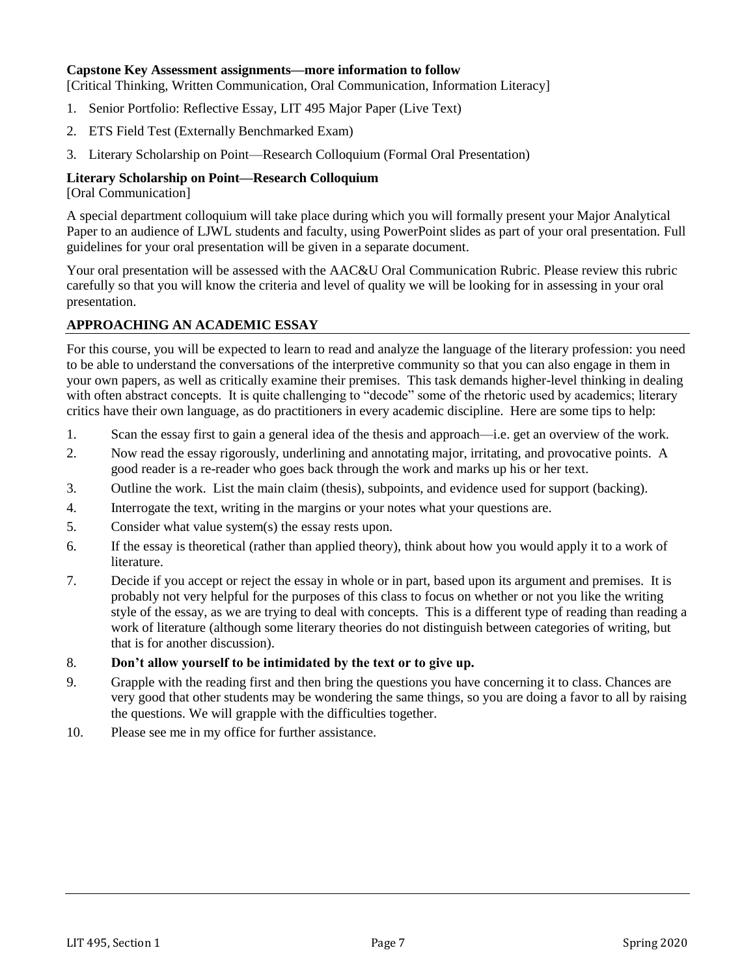#### **Capstone Key Assessment assignments—more information to follow**

[Critical Thinking, Written Communication, Oral Communication, Information Literacy]

- 1. Senior Portfolio: Reflective Essay, LIT 495 Major Paper (Live Text)
- 2. ETS Field Test (Externally Benchmarked Exam)
- 3. Literary Scholarship on Point—Research Colloquium (Formal Oral Presentation)

#### **Literary Scholarship on Point—Research Colloquium**

[Oral Communication]

A special department colloquium will take place during which you will formally present your Major Analytical Paper to an audience of LJWL students and faculty, using PowerPoint slides as part of your oral presentation. Full guidelines for your oral presentation will be given in a separate document.

Your oral presentation will be assessed with the AAC&U Oral Communication Rubric. Please review this rubric carefully so that you will know the criteria and level of quality we will be looking for in assessing in your oral presentation.

# **APPROACHING AN ACADEMIC ESSAY**

For this course, you will be expected to learn to read and analyze the language of the literary profession: you need to be able to understand the conversations of the interpretive community so that you can also engage in them in your own papers, as well as critically examine their premises. This task demands higher-level thinking in dealing with often abstract concepts. It is quite challenging to "decode" some of the rhetoric used by academics; literary critics have their own language, as do practitioners in every academic discipline. Here are some tips to help:

- 1. Scan the essay first to gain a general idea of the thesis and approach—i.e. get an overview of the work.
- 2. Now read the essay rigorously, underlining and annotating major, irritating, and provocative points. A good reader is a re-reader who goes back through the work and marks up his or her text.
- 3. Outline the work. List the main claim (thesis), subpoints, and evidence used for support (backing).
- 4. Interrogate the text, writing in the margins or your notes what your questions are.
- 5. Consider what value system(s) the essay rests upon.
- 6. If the essay is theoretical (rather than applied theory), think about how you would apply it to a work of literature.
- 7. Decide if you accept or reject the essay in whole or in part, based upon its argument and premises. It is probably not very helpful for the purposes of this class to focus on whether or not you like the writing style of the essay, as we are trying to deal with concepts. This is a different type of reading than reading a work of literature (although some literary theories do not distinguish between categories of writing, but that is for another discussion).
- 8. **Don't allow yourself to be intimidated by the text or to give up.**
- 9. Grapple with the reading first and then bring the questions you have concerning it to class. Chances are very good that other students may be wondering the same things, so you are doing a favor to all by raising the questions. We will grapple with the difficulties together.
- 10. Please see me in my office for further assistance.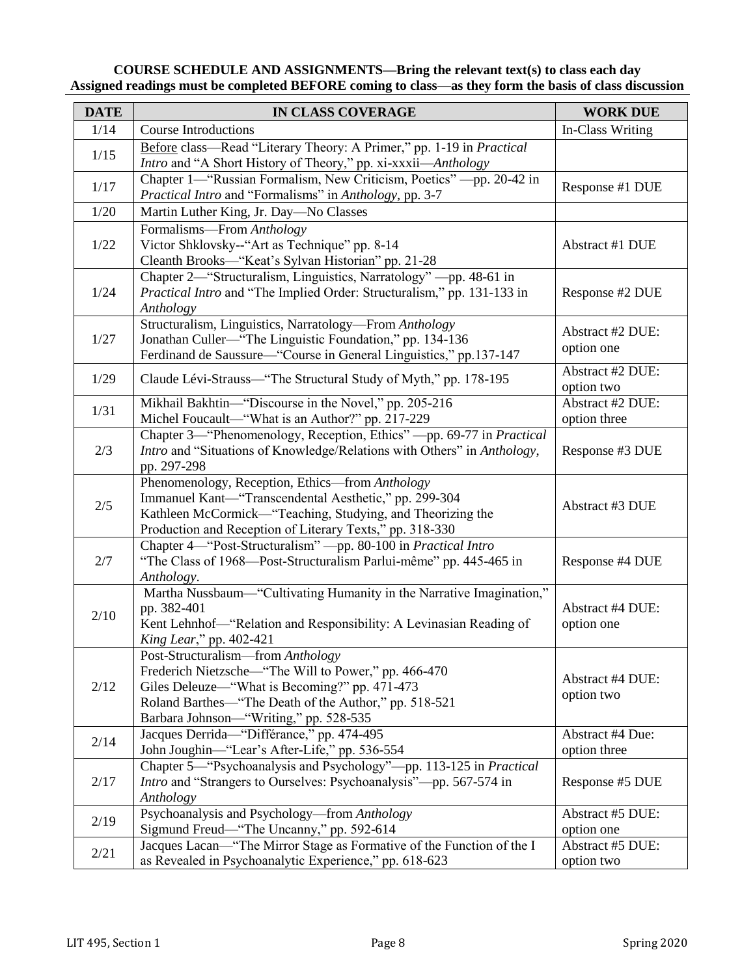# **COURSE SCHEDULE AND ASSIGNMENTS—Bring the relevant text(s) to class each day Assigned readings must be completed BEFORE coming to class—as they form the basis of class discussion**

| <b>DATE</b> | IN CLASS COVERAGE                                                                                                                                                                                                                             | <b>WORK DUE</b>                  |  |  |
|-------------|-----------------------------------------------------------------------------------------------------------------------------------------------------------------------------------------------------------------------------------------------|----------------------------------|--|--|
| 1/14        | <b>Course Introductions</b>                                                                                                                                                                                                                   | In-Class Writing                 |  |  |
| 1/15        | Before class—Read "Literary Theory: A Primer," pp. 1-19 in Practical<br>Intro and "A Short History of Theory," pp. xi-xxxii-Anthology                                                                                                         |                                  |  |  |
| 1/17        | Chapter 1—"Russian Formalism, New Criticism, Poetics" - pp. 20-42 in<br>Practical Intro and "Formalisms" in Anthology, pp. 3-7                                                                                                                | Response #1 DUE                  |  |  |
| 1/20        | Martin Luther King, Jr. Day-No Classes                                                                                                                                                                                                        |                                  |  |  |
| 1/22        | Formalisms—From Anthology<br>Victor Shklovsky--"Art as Technique" pp. 8-14<br>Cleanth Brooks-"Keat's Sylvan Historian" pp. 21-28                                                                                                              | Abstract #1 DUE                  |  |  |
| 1/24        | Chapter 2-"Structuralism, Linguistics, Narratology" - pp. 48-61 in<br>Practical Intro and "The Implied Order: Structuralism," pp. 131-133 in<br>Anthology                                                                                     | Response #2 DUE                  |  |  |
| 1/27        | Structuralism, Linguistics, Narratology-From Anthology<br>Jonathan Culler—"The Linguistic Foundation," pp. 134-136<br>Ferdinand de Saussure—"Course in General Linguistics," pp.137-147                                                       | Abstract #2 DUE:<br>option one   |  |  |
| 1/29        | Claude Lévi-Strauss—"The Structural Study of Myth," pp. 178-195                                                                                                                                                                               | Abstract #2 DUE:<br>option two   |  |  |
| 1/31        | Mikhail Bakhtin-"Discourse in the Novel," pp. 205-216<br>Michel Foucault-"What is an Author?" pp. 217-229                                                                                                                                     | Abstract #2 DUE:<br>option three |  |  |
| 2/3         | Chapter 3—"Phenomenology, Reception, Ethics" - pp. 69-77 in Practical<br>Intro and "Situations of Knowledge/Relations with Others" in Anthology,<br>pp. 297-298                                                                               | Response #3 DUE                  |  |  |
| $2/5$       | Phenomenology, Reception, Ethics-from Anthology<br>Immanuel Kant-"Transcendental Aesthetic," pp. 299-304<br>Kathleen McCormick-"Teaching, Studying, and Theorizing the<br>Production and Reception of Literary Texts," pp. 318-330            | Abstract #3 DUE                  |  |  |
| 2/7         | Chapter 4-"Post-Structuralism" - pp. 80-100 in Practical Intro<br>"The Class of 1968—Post-Structuralism Parlui-même" pp. 445-465 in<br>Anthology.                                                                                             | Response #4 DUE                  |  |  |
| 2/10        | Martha Nussbaum—"Cultivating Humanity in the Narrative Imagination,"<br>pp. 382-401<br>Kent Lehnhof-"Relation and Responsibility: A Levinasian Reading of<br><i>King Lear</i> ," pp. 402-421                                                  | Abstract #4 DUE:<br>option one   |  |  |
| 2/12        | Post-Structuralism—from Anthology<br>Frederich Nietzsche—"The Will to Power," pp. 466-470<br>Giles Deleuze—"What is Becoming?" pp. 471-473<br>Roland Barthes-"The Death of the Author," pp. 518-521<br>Barbara Johnson-"Writing," pp. 528-535 | Abstract #4 DUE:<br>option two   |  |  |
| 2/14        | Jacques Derrida-"Différance," pp. 474-495<br>John Joughin-"Lear's After-Life," pp. 536-554                                                                                                                                                    | Abstract #4 Due:<br>option three |  |  |
| 2/17        | Chapter 5—"Psychoanalysis and Psychology"—pp. 113-125 in Practical<br><i>Intro</i> and "Strangers to Ourselves: Psychoanalysis"—pp. 567-574 in<br>Anthology                                                                                   | Response #5 DUE                  |  |  |
| 2/19        | Psychoanalysis and Psychology—from Anthology<br>Sigmund Freud—"The Uncanny," pp. 592-614                                                                                                                                                      | Abstract #5 DUE:<br>option one   |  |  |
| 2/21        | Jacques Lacan—"The Mirror Stage as Formative of the Function of the I<br>as Revealed in Psychoanalytic Experience," pp. 618-623                                                                                                               | Abstract #5 DUE:<br>option two   |  |  |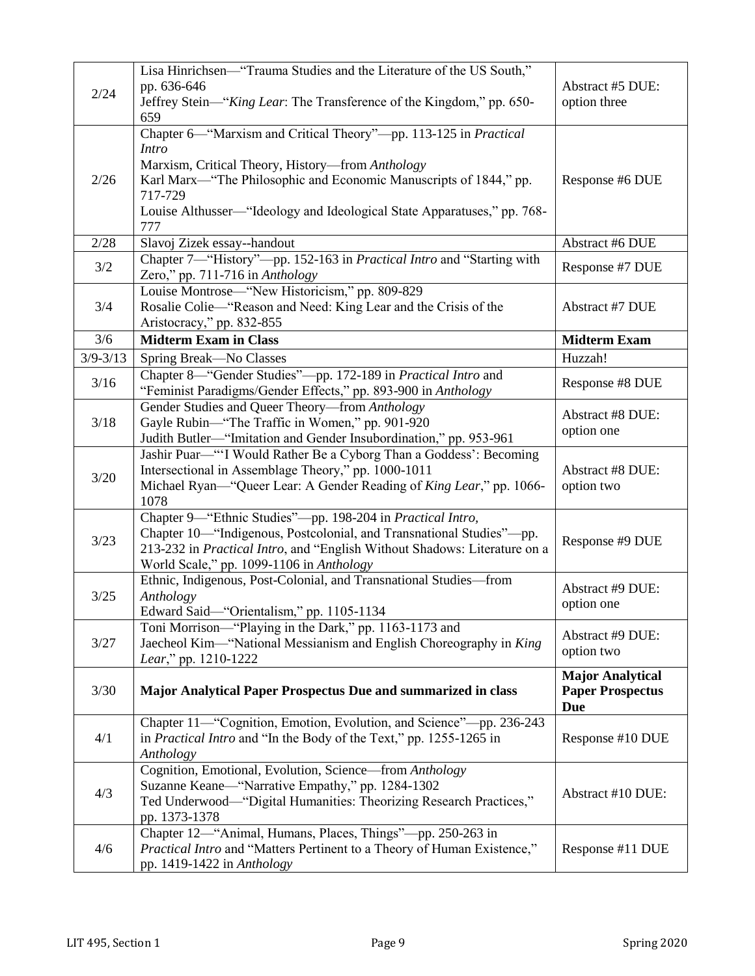|              | Lisa Hinrichsen-"Trauma Studies and the Literature of the US South,"                                                                                |                         |  |
|--------------|-----------------------------------------------------------------------------------------------------------------------------------------------------|-------------------------|--|
|              | pp. 636-646                                                                                                                                         | Abstract #5 DUE:        |  |
| 2/24         | Jeffrey Stein-"King Lear: The Transference of the Kingdom," pp. 650-                                                                                | option three            |  |
|              | 659                                                                                                                                                 |                         |  |
|              | Chapter 6-"Marxism and Critical Theory"-pp. 113-125 in Practical                                                                                    |                         |  |
|              | <i>Intro</i>                                                                                                                                        |                         |  |
|              | Marxism, Critical Theory, History-from Anthology                                                                                                    |                         |  |
| 2/26         | Karl Marx—"The Philosophic and Economic Manuscripts of 1844," pp.                                                                                   | Response #6 DUE         |  |
|              | 717-729                                                                                                                                             |                         |  |
|              | Louise Althusser—"Ideology and Ideological State Apparatuses," pp. 768-                                                                             |                         |  |
|              | 777                                                                                                                                                 |                         |  |
| 2/28         | Slavoj Zizek essay--handout                                                                                                                         | Abstract #6 DUE         |  |
|              | Chapter 7-"History"-pp. 152-163 in Practical Intro and "Starting with                                                                               |                         |  |
| 3/2          | Zero," pp. 711-716 in Anthology                                                                                                                     | Response #7 DUE         |  |
|              | Louise Montrose—"New Historicism," pp. 809-829                                                                                                      |                         |  |
| 3/4          | Rosalie Colie—"Reason and Need: King Lear and the Crisis of the                                                                                     | Abstract #7 DUE         |  |
|              | Aristocracy," pp. 832-855                                                                                                                           |                         |  |
| 3/6          | <b>Midterm Exam in Class</b>                                                                                                                        | <b>Midterm Exam</b>     |  |
| $3/9 - 3/13$ | Spring Break-No Classes                                                                                                                             | Huzzah!                 |  |
|              | Chapter 8—"Gender Studies"—pp. 172-189 in Practical Intro and                                                                                       |                         |  |
| 3/16         | "Feminist Paradigms/Gender Effects," pp. 893-900 in Anthology                                                                                       | Response #8 DUE         |  |
|              | Gender Studies and Queer Theory-from Anthology                                                                                                      | Abstract #8 DUE:        |  |
| $3/18$       | Gayle Rubin-"The Traffic in Women," pp. 901-920                                                                                                     | option one              |  |
|              | Judith Butler-"Imitation and Gender Insubordination," pp. 953-961                                                                                   |                         |  |
|              | Jashir Puar—"'I Would Rather Be a Cyborg Than a Goddess': Becoming                                                                                  |                         |  |
| 3/20         | Intersectional in Assemblage Theory," pp. 1000-1011                                                                                                 | <b>Abstract #8 DUE:</b> |  |
|              | Michael Ryan—"Queer Lear: A Gender Reading of King Lear," pp. 1066-                                                                                 | option two              |  |
|              | 1078                                                                                                                                                |                         |  |
|              | Chapter 9-"Ethnic Studies"-pp. 198-204 in Practical Intro,                                                                                          |                         |  |
| 3/23         | Chapter 10—"Indigenous, Postcolonial, and Transnational Studies"---pp.<br>213-232 in Practical Intro, and "English Without Shadows: Literature on a | Response #9 DUE         |  |
|              | World Scale," pp. 1099-1106 in Anthology                                                                                                            |                         |  |
|              | Ethnic, Indigenous, Post-Colonial, and Transnational Studies-from                                                                                   |                         |  |
| $3/25$       | Anthology                                                                                                                                           | Abstract #9 DUE:        |  |
|              | Edward Said-"Orientalism," pp. 1105-1134                                                                                                            | option one              |  |
|              | Toni Morrison—"Playing in the Dark," pp. 1163-1173 and                                                                                              |                         |  |
| 3/27         | Jaecheol Kim-"National Messianism and English Choreography in King                                                                                  | Abstract #9 DUE:        |  |
|              | Lear," pp. 1210-1222                                                                                                                                | option two              |  |
|              |                                                                                                                                                     | <b>Major Analytical</b> |  |
| 3/30         | Major Analytical Paper Prospectus Due and summarized in class                                                                                       | <b>Paper Prospectus</b> |  |
|              |                                                                                                                                                     | <b>Due</b>              |  |
|              | Chapter 11—"Cognition, Emotion, Evolution, and Science"—pp. 236-243                                                                                 |                         |  |
| 4/1          | in <i>Practical Intro</i> and "In the Body of the Text," pp. 1255-1265 in                                                                           | Response #10 DUE        |  |
|              | Anthology                                                                                                                                           |                         |  |
|              | Cognition, Emotional, Evolution, Science-from Anthology                                                                                             |                         |  |
| 4/3          | Suzanne Keane—"Narrative Empathy," pp. 1284-1302                                                                                                    | Abstract #10 DUE:       |  |
|              | Ted Underwood-"Digital Humanities: Theorizing Research Practices,"                                                                                  |                         |  |
|              | pp. 1373-1378                                                                                                                                       |                         |  |
|              | Chapter 12—"Animal, Humans, Places, Things"—pp. 250-263 in                                                                                          |                         |  |
| 4/6          | Practical Intro and "Matters Pertinent to a Theory of Human Existence,"                                                                             | Response #11 DUE        |  |
|              | pp. 1419-1422 in Anthology                                                                                                                          |                         |  |